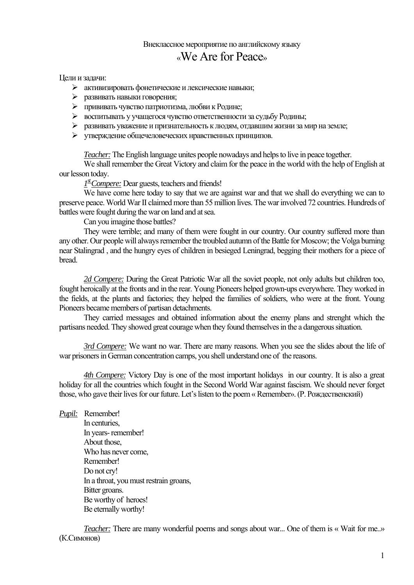## Внеклассное мероприятие по английскому языку «We Are for Peace»

Цели и задачи:

- $\triangleright$  активизировать фонетические и лексические навыки;
- развивать навыки говорения;
- прививать чувство патриотизма, любви к Родине;
- воспитывать у учащегося чувство ответственности за судьбу Родины;
- $\triangleright$  развивать уважение и признательность к людям, отдавшим жизни за мир на земле;
- утверждение общечеловеческих нравственных принципов.

*Teacher:* The English language unites people nowadays and helps to live in peace together.

We shall remember the Great Victory and claim for the peace in the world with the help of English at our lesson today.

*1 st Compere:* Dear guests, teachers and friends!

We have come here today to say that we are against war and that we shall do everything we can to preserve peace. World War II claimed more than 55 million lives. The war involved 72 countries. Hundreds of battles were fought during the war on land and at sea.

Can you imagine those battles?

They were terrible; and many of them were fought in our country. Our country suffered more than any other. Our people will always remember the troubled autumn of the Battle for Moscow; the Volga burning near Stalingrad , and the hungry eyes of children in besieged Leningrad, begging their mothers for a piece of bread.

*2d Compere:* During the Great Patriotic War all the soviet people, not only adults but children too, fought heroically at the fronts and in the rear. Young Pioneers helped grown-ups everywhere. They worked in the fields, at the plants and factories; they helped the families of soldiers, who were at the front. Young Pioneers became members of partisan detachments.

They carried messages and obtained information about the enemy plans and strenght which the partisans needed. They showed great courage when they found themselves in the a dangerous situation.

*3rd Compere:* We want no war. There are many reasons. When you see the slides about the life of war prisoners in German concentration camps, you shell understand one of the reasons.

*4th Compere:* Victory Day is one of the most important holidays in our country. It is also a great holiday for all the countries which fought in the Second World War against fascism. We should never forget those, who gave their lives for our future. Let's listen to the poem « Remember». (Р. Рождественский)

*Pupil:* Remember! In centuries In years- remember! About those, Who has never come, Remember! Do not cry! In a throat, you must restrain groans, Bitter groans. Be worthy of heroes! Be eternally worthy!

*Teacher:* There are many wonderful poems and songs about war... One of them is « Wait for me...» (К.Симонов)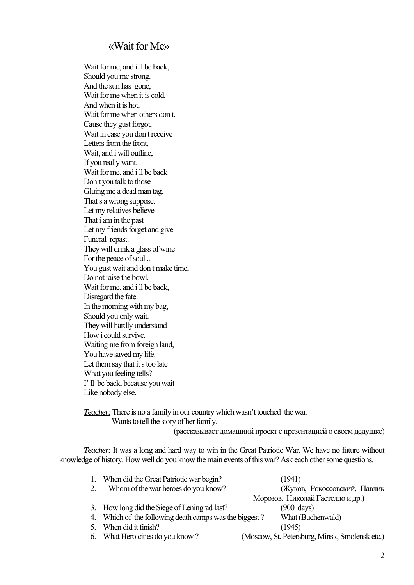## «Wait for Me»

Wait for me, and i ll be back, Should you me strong. And the sun has gone, Wait for me when it is cold, And when it is hot, Wait for me when others don t. Cause they gust forgot, Wait in case you don t receive Letters from the front, Wait, and i will outline, If you really want. Wait for me, and i ll be back Don t you talk to those Gluing me a dead man tag. That s a wrong suppose. Let my relatives believe That i am in the past Let my friends forget and give Funeral repast. They will drink a glass of wine For the peace of soul ... You gust wait and don t make time, Do not raise the bowl. Wait for me, and i ll be back, Disregard the fate. In the morning with my bag, Should you only wait. They will hardly understand How i could survive. Waiting me from foreign land, You have saved my life. Let them say that it s too late What you feeling tells? I' ll be back, because you wait Like nobody else.

*Teacher:* There is no a family in our country which wasn't touched the war. Wants to tell the story of her family.

(рассказывает домашний проект с презентацией о своемдедушке)

*Teacher:* It was a long and hard way to win in the Great Patriotic War. We have no future without knowledge of history. How well do you know the main events of this war? Ask each оther some questions.

| When did the Great Patriotic war begin?                | (1941)                                         |
|--------------------------------------------------------|------------------------------------------------|
| Whom of the war heroes do you know?                    | (Жуков, Рокоссовский, Павлик                   |
|                                                        | Морозов, Николай Гастелло и др.)               |
| 3. How long did the Siege of Leningrad last?           | $(900 \text{ days})$                           |
| 4. Which of the following death camps was the biggest? | What (Buchenwald)                              |
| When did it finish?                                    | (1945)                                         |
| 6. What Hero cities do you know?                       | (Moscow, St. Petersburg, Minsk, Smolensk etc.) |
|                                                        |                                                |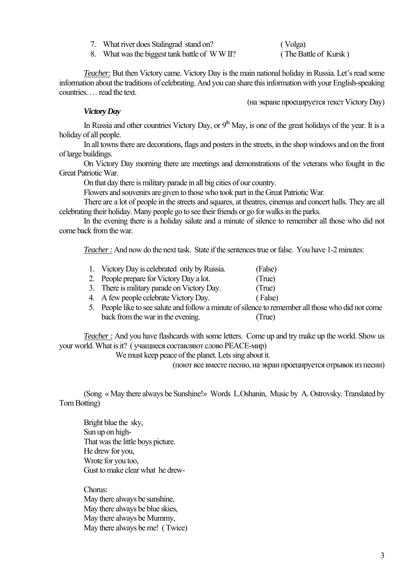7. What river does Stalingrad stand on? ( Volga)

8. What was the biggest tank battle of W W II? ( The Battle of Kursk )

*Teacher:* But then Victory came. Victory Day is the main national holiday in Russia. Let's read some information about the traditions of celebrating. And you can share this information with your English-speaking countries. … read the text.

(на экране проецируется текст Victory Day)

## *Victory Day*

In Russia and other countries Victory Day, or  $9<sup>th</sup>$  May, is one of the great holidays of the year. It is a holiday of all people.

In all towns there are decorations, flags and posters in the streets, in the shop windows and on the front of large buildings.

On Victory Day morning there are meetings and demonstrations of the veterans who fought in the Great Patriotic War.

On that day there is military parade in all big cities of our country.

Flowers and souvenirs are given to those who took part in the Great Patriotic War.

There are a lot of people in the streets and squares, at theatres, cinemas and concert halls. They are all celebrating their holiday. Many people go to see their friends or go for walks in the parks.

In the evening there is a holiday salute and a minute of silence to remember all those who did not come back from the war.

*Teacher :* And now do the next task. State if the sentences true or false. You have 1-2 minutes:

- 1. Victory Day is celebrated only by Russia. (False)
- 2. People prepare for Victory Day a lot. (True)
- 3. There is military parade on Victory Day. (True)
- 4. A few people celebrate Victory Day. ( False)
- 5. People like to see salute and follow a minute of silence to remember all those who did not come back from the war in the evening. (True)

*Teacher :* And you have flashcards with some letters. Come up and try make up the world. Show us your world. What is it? ( учащиеся составляют слово PEACE-мир)

We must keep peace of the planet. Lets sing about it.

(поют все вместе песню, на экран проецируется отрывок из песни)

 (Song « May there always be Sunshine!» Words L.Oshanin, Music by A. Ostrovsky. Translated by Tom Botting)

Bright blue the sky, Sun up on high-That was the little boys picture. He drew for you, Wrote for you too, Gust to make clear what he drew-

Chorus: May there always be sunshine, May there always be blue skies. May there always be Mummy, May there always be me! ( Twice)